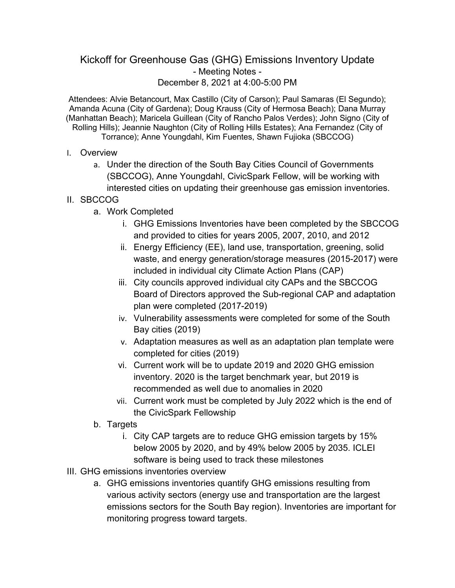## Kickoff for Greenhouse Gas (GHG) Emissions Inventory Update - Meeting Notes - December 8, 2021 at 4:00-5:00 PM

Attendees: Alvie Betancourt, Max Castillo (City of Carson); Paul Samaras (El Segundo); Amanda Acuna (City of Gardena); Doug Krauss (City of Hermosa Beach); Dana Murray (Manhattan Beach); Maricela Guillean (City of Rancho Palos Verdes); John Signo (City of Rolling Hills); Jeannie Naughton (City of Rolling Hills Estates); Ana Fernandez (City of Torrance); Anne Youngdahl, Kim Fuentes, Shawn Fujioka (SBCCOG)

- I. Overview
	- a. Under the direction of the South Bay Cities Council of Governments (SBCCOG), Anne Youngdahl, CivicSpark Fellow, will be working with interested cities on updating their greenhouse gas emission inventories.

## II. SBCCOG

- a. Work Completed
	- i. GHG Emissions Inventories have been completed by the SBCCOG and provided to cities for years 2005, 2007, 2010, and 2012
	- ii. Energy Efficiency (EE), land use, transportation, greening, solid waste, and energy generation/storage measures (2015-2017) were included in individual city Climate Action Plans (CAP)
	- iii. City councils approved individual city CAPs and the SBCCOG Board of Directors approved the Sub-regional CAP and adaptation plan were completed (2017-2019)
	- iv. Vulnerability assessments were completed for some of the South Bay cities (2019)
	- v. Adaptation measures as well as an adaptation plan template were completed for cities (2019)
	- vi. Current work will be to update 2019 and 2020 GHG emission inventory. 2020 is the target benchmark year, but 2019 is recommended as well due to anomalies in 2020
	- vii. Current work must be completed by July 2022 which is the end of the CivicSpark Fellowship
- b. Targets
	- i. City CAP targets are to reduce GHG emission targets by 15% below 2005 by 2020, and by 49% below 2005 by 2035. ICLEI software is being used to track these milestones
- III. GHG emissions inventories overview
	- a. GHG emissions inventories quantify GHG emissions resulting from various activity sectors (energy use and transportation are the largest emissions sectors for the South Bay region). Inventories are important for monitoring progress toward targets.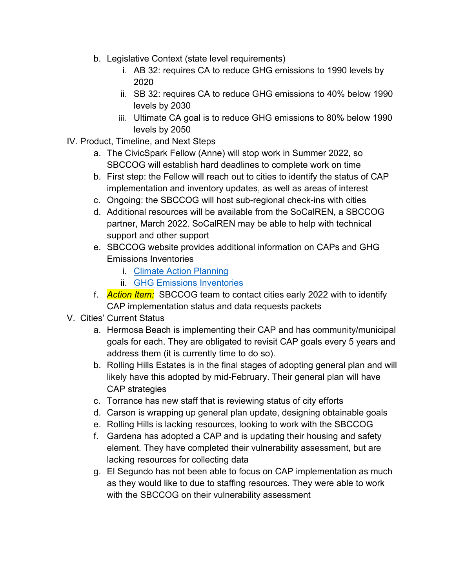- b. Legislative Context (state level requirements)
	- i. AB 32: requires CA to reduce GHG emissions to 1990 levels by 2020
	- ii. SB 32: requires CA to reduce GHG emissions to 40% below 1990 levels by 2030
	- iii. Ultimate CA goal is to reduce GHG emissions to 80% below 1990 levels by 2050
- IV. Product, Timeline, and Next Steps
	- a. The CivicSpark Fellow (Anne) will stop work in Summer 2022, so SBCCOG will establish hard deadlines to complete work on time
	- b. First step: the Fellow will reach out to cities to identify the status of CAP implementation and inventory updates, as well as areas of interest
	- c. Ongoing: the SBCCOG will host sub-regional check-ins with cities
	- d. Additional resources will be available from the SoCalREN, a SBCCOG partner, March 2022. SoCalREN may be able to help with technical support and other support
	- e. SBCCOG website provides additional information on CAPs and GHG Emissions Inventories
		- i. [Climate Action Planning](https://southbaycities.org/programs/climate-action-planning/)
		- ii. [GHG Emissions Inventories](https://southbaycities.org/programs/greenhouse-gas-emissions-inventories/)
	- f. *Action Item:* SBCCOG team to contact cities early 2022 with to identify CAP implementation status and data requests packets
- V. Cities' Current Status
	- a. Hermosa Beach is implementing their CAP and has community/municipal goals for each. They are obligated to revisit CAP goals every 5 years and address them (it is currently time to do so).
	- b. Rolling Hills Estates is in the final stages of adopting general plan and will likely have this adopted by mid-February. Their general plan will have CAP strategies
	- c. Torrance has new staff that is reviewing status of city efforts
	- d. Carson is wrapping up general plan update, designing obtainable goals
	- e. Rolling Hills is lacking resources, looking to work with the SBCCOG
	- f. Gardena has adopted a CAP and is updating their housing and safety element. They have completed their vulnerability assessment, but are lacking resources for collecting data
	- g. El Segundo has not been able to focus on CAP implementation as much as they would like to due to staffing resources. They were able to work with the SBCCOG on their vulnerability assessment